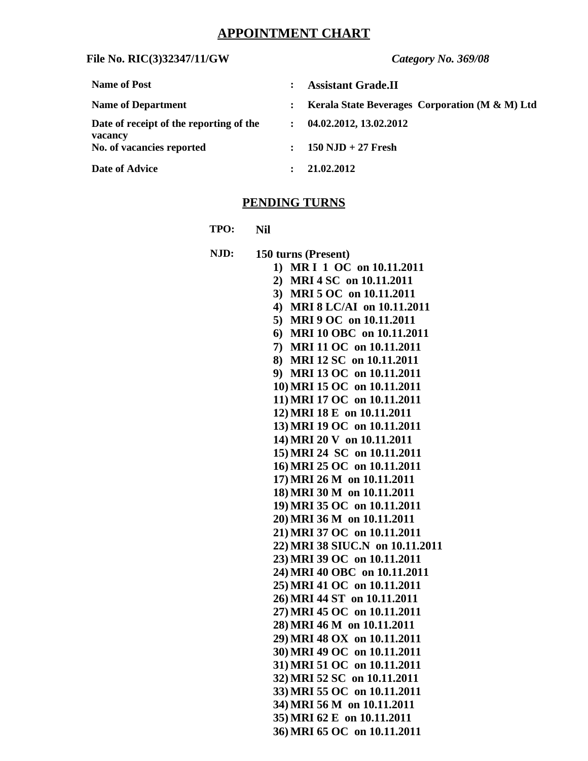# **APPOINTMENT CHART**

# **File No. RIC(3)32347/11/GW** *Category No. 369/08*

| <b>Name of Post</b>                                |              | <b>Assistant Grade.II</b>                                 |
|----------------------------------------------------|--------------|-----------------------------------------------------------|
| <b>Name of Department</b>                          | $\mathbf{L}$ | <b>Kerala State Beverages Corporation (M &amp; M) Ltd</b> |
| Date of receipt of the reporting of the<br>vacancy | $\mathbf{r}$ | 04.02.2012, 13.02.2012                                    |
| No. of vacancies reported                          | $\mathbf{L}$ | $150$ NJD + 27 Fresh                                      |
| <b>Date of Advice</b>                              |              | 21.02.2012                                                |

# **PENDING TURNS**

**TPO: Nil**

| NJD: | 150 turns (Present)                                        |
|------|------------------------------------------------------------|
|      | MR I 1 OC on 10.11.2011<br>1)                              |
|      | 2) MRI 4 SC on 10.11.2011                                  |
|      | 3) MRI 5 OC on 10.11.2011                                  |
|      | 4) MRI 8 LC/AI on 10.11.2011                               |
|      | 5) MRI 9 OC on 10.11.2011                                  |
|      | 6) MRI 10 OBC on 10.11.2011                                |
|      | 7) MRI 11 OC on 10.11.2011                                 |
|      | 8) MRI 12 SC on 10.11.2011                                 |
|      | 9) MRI 13 OC on 10.11.2011                                 |
|      | 10) MRI 15 OC on 10.11.2011                                |
|      | 11) MRI 17 OC on 10.11.2011                                |
|      | 12) MRI 18 E on 10.11.2011                                 |
|      | 13) MRI 19 OC on 10.11.2011                                |
|      | 14) MRI 20 V on 10.11.2011                                 |
|      | 15) MRI 24 SC on 10.11.2011                                |
|      | 16) MRI 25 OC on 10.11.2011                                |
|      | 17) MRI 26 M on 10.11.2011                                 |
|      | 18) MRI 30 M on 10.11.2011                                 |
|      | 19) MRI 35 OC on 10.11.2011                                |
|      | 20) MRI 36 M on 10.11.2011                                 |
|      | 21) MRI 37 OC on 10.11.2011                                |
|      | 22) MRI 38 SIUC.N on 10.11.2011                            |
|      | 23) MRI 39 OC on 10.11.2011                                |
|      | 24) MRI 40 OBC on 10.11.2011                               |
|      | 25) MRI 41 OC on 10.11.2011                                |
|      | 26) MRI 44 ST on 10.11.2011                                |
|      | 27) MRI 45 OC on 10.11.2011                                |
|      | 28) MRI 46 M on 10.11.2011                                 |
|      | 29) MRI 48 OX on 10.11.2011                                |
|      | 30) MRI 49 OC on 10.11.2011<br>31) MRI 51 OC on 10.11.2011 |
|      |                                                            |
|      | 32) MRI 52 SC on 10.11.2011                                |
|      | 33) MRI 55 OC on 10.11.2011                                |
|      | 34) MRI 56 M on 10.11.2011                                 |
|      | 35) MRI 62 E on 10.11.2011                                 |
|      | 36) MRI 65 OC on 10.11.2011                                |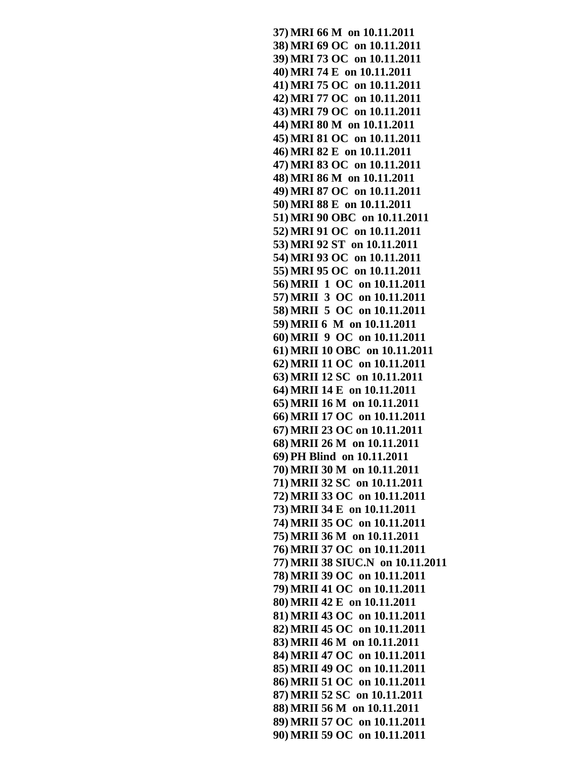**37) MRI 66 M on 10.11.2011 38) MRI 69 OC on 10.11.2011 39) MRI 73 OC on 10.11.2011 40) MRI 74 E on 10.11.2011 41) MRI 75 OC on 10.11.2011 42) MRI 77 OC on 10.11.2011 43) MRI 79 OC on 10.11.2011 44) MRI 80 M on 10.11.2011 45) MRI 81 OC on 10.11.2011 46) MRI 82 E on 10.11.2011 47) MRI 83 OC on 10.11.2011 48) MRI 86 M on 10.11.2011 49) MRI 87 OC on 10.11.2011 50) MRI 88 E on 10.11.2011 51) MRI 90 OBC on 10.11.2011 52) MRI 91 OC on 10.11.2011 53) MRI 92 ST on 10.11.2011 54) MRI 93 OC on 10.11.2011 55) MRI 95 OC on 10.11.2011 56) MRII 1 OC on 10.11.2011 57) MRII 3 OC on 10.11.2011 58) MRII 5 OC on 10.11.2011 59) MRII 6 M on 10.11.2011 60) MRII 9 OC on 10.11.2011 61) MRII 10 OBC on 10.11.2011 62) MRII 11 OC on 10.11.2011 63) MRII 12 SC on 10.11.2011 64) MRII 14 E on 10.11.2011 65) MRII 16 M on 10.11.2011 66) MRII 17 OC on 10.11.2011 67) MRII 23 OC on 10.11.2011 68) MRII 26 M on 10.11.2011 69) PH Blind on 10.11.2011 70) MRII 30 M on 10.11.2011 71) MRII 32 SC on 10.11.2011 72) MRII 33 OC on 10.11.2011 73) MRII 34 E on 10.11.2011 74) MRII 35 OC on 10.11.2011 75) MRII 36 M on 10.11.2011 76) MRII 37 OC on 10.11.2011 77) MRII 38 SIUC.N on 10.11.2011 78) MRII 39 OC on 10.11.2011 79) MRII 41 OC on 10.11.2011 80) MRII 42 E on 10.11.2011 81) MRII 43 OC on 10.11.2011 82) MRII 45 OC on 10.11.2011 83) MRII 46 M on 10.11.2011 84) MRII 47 OC on 10.11.2011 85) MRII 49 OC on 10.11.2011 86) MRII 51 OC on 10.11.2011 87) MRII 52 SC on 10.11.2011 88) MRII 56 M on 10.11.2011 89) MRII 57 OC on 10.11.2011 90) MRII 59 OC on 10.11.2011**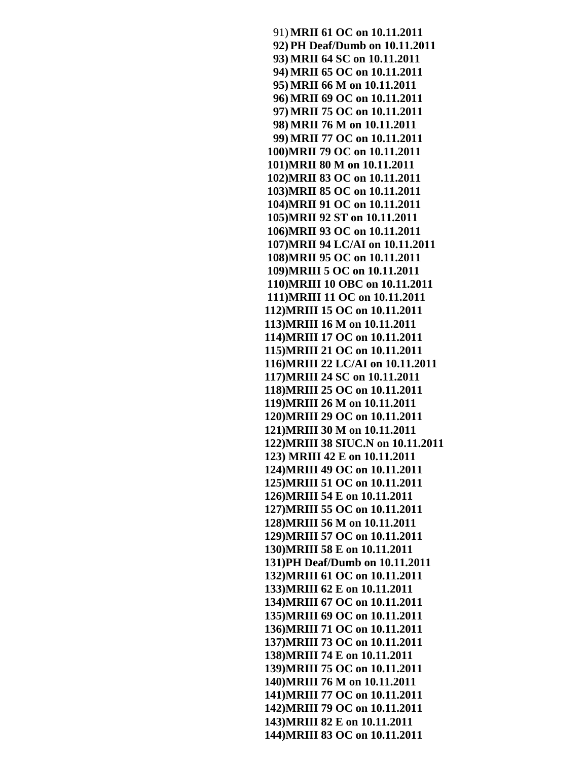91) **MRII 61 OC on 10.11.2011 92) PH Deaf/Dumb on 10.11.2011 93) MRII 64 SC on 10.11.2011 94) MRII 65 OC on 10.11.2011 95) MRII 66 M on 10.11.2011 96) MRII 69 OC on 10.11.2011 97) MRII 75 OC on 10.11.2011 98) MRII 76 M on 10.11.2011 99) MRII 77 OC on 10.11.2011 100)MRII 79 OC on 10.11.2011 101)MRII 80 M on 10.11.2011 102)MRII 83 OC on 10.11.2011 103)MRII 85 OC on 10.11.2011 104)MRII 91 OC on 10.11.2011 105)MRII 92 ST on 10.11.2011 106)MRII 93 OC on 10.11.2011 107)MRII 94 LC/AI on 10.11.2011 108)MRII 95 OC on 10.11.2011 109)MRIII 5 OC on 10.11.2011 110)MRIII 10 OBC on 10.11.2011 111)MRIII 11 OC on 10.11.2011 112)MRIII 15 OC on 10.11.2011 113)MRIII 16 M on 10.11.2011 114)MRIII 17 OC on 10.11.2011 115)MRIII 21 OC on 10.11.2011 116)MRIII 22 LC/AI on 10.11.2011 117)MRIII 24 SC on 10.11.2011 118)MRIII 25 OC on 10.11.2011 119)MRIII 26 M on 10.11.2011 120)MRIII 29 OC on 10.11.2011 121)MRIII 30 M on 10.11.2011 122)MRIII 38 SIUC.N on 10.11.2011 123) MRIII 42 E on 10.11.2011 124)MRIII 49 OC on 10.11.2011 125)MRIII 51 OC on 10.11.2011 126)MRIII 54 E on 10.11.2011 127)MRIII 55 OC on 10.11.2011 128)MRIII 56 M on 10.11.2011 129)MRIII 57 OC on 10.11.2011 130)MRIII 58 E on 10.11.2011 131)PH Deaf/Dumb on 10.11.2011 132)MRIII 61 OC on 10.11.2011 133)MRIII 62 E on 10.11.2011 134)MRIII 67 OC on 10.11.2011 135)MRIII 69 OC on 10.11.2011 136)MRIII 71 OC on 10.11.2011 137)MRIII 73 OC on 10.11.2011 138)MRIII 74 E on 10.11.2011 139)MRIII 75 OC on 10.11.2011 140)MRIII 76 M on 10.11.2011 141)MRIII 77 OC on 10.11.2011 142)MRIII 79 OC on 10.11.2011 143)MRIII 82 E on 10.11.2011 144)MRIII 83 OC on 10.11.2011**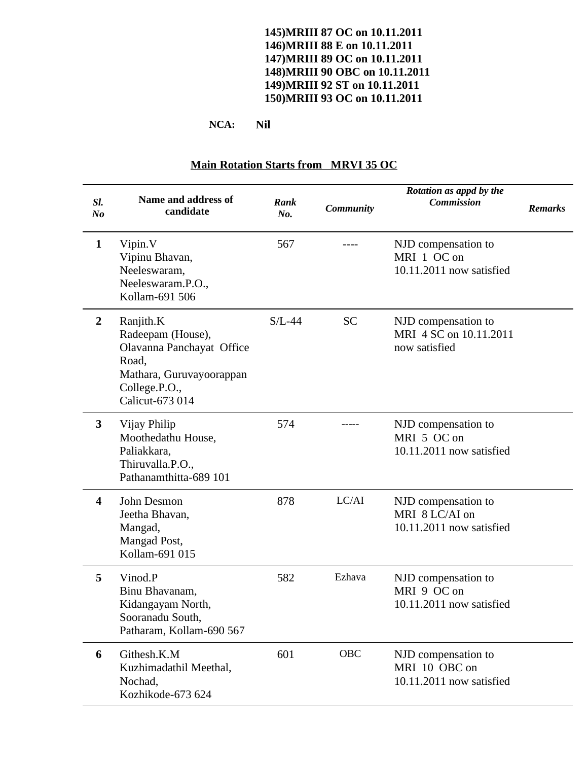### **145)MRIII 87 OC on 10.11.2011 146)MRIII 88 E on 10.11.2011 147)MRIII 89 OC on 10.11.2011 148)MRIII 90 OBC on 10.11.2011 149)MRIII 92 ST on 10.11.2011 150)MRIII 93 OC on 10.11.2011**

**NCA: Nil**

| SI.<br>N <sub>o</sub> | <b>Name and address of</b><br>candidate                                                                                              | Rank<br>No. | <b>Community</b> | Rotation as appd by the<br><b>Commission</b>                      | <b>Remarks</b> |
|-----------------------|--------------------------------------------------------------------------------------------------------------------------------------|-------------|------------------|-------------------------------------------------------------------|----------------|
| $\mathbf{1}$          | Vipin.V<br>Vipinu Bhavan,<br>Neeleswaram,<br>Neeleswaram.P.O.,<br>Kollam-691 506                                                     | 567         |                  | NJD compensation to<br>MRI 1 OC on<br>10.11.2011 now satisfied    |                |
| $\overline{2}$        | Ranjith.K<br>Radeepam (House),<br>Olavanna Panchayat Office<br>Road,<br>Mathara, Guruvayoorappan<br>College.P.O.,<br>Calicut-673 014 | $S/L-44$    | <b>SC</b>        | NJD compensation to<br>MRI 4 SC on 10.11.2011<br>now satisfied    |                |
| 3                     | Vijay Philip<br>Moothedathu House,<br>Paliakkara,<br>Thiruvalla.P.O.,<br>Pathanamthitta-689 101                                      | 574         |                  | NJD compensation to<br>MRI 5 OC on<br>10.11.2011 now satisfied    |                |
| 4                     | John Desmon<br>Jeetha Bhavan,<br>Mangad,<br>Mangad Post,<br>Kollam-691 015                                                           | 878         | LC/AI            | NJD compensation to<br>MRI 8 LC/AI on<br>10.11.2011 now satisfied |                |
| 5                     | Vinod.P<br>Binu Bhavanam,<br>Kidangayam North,<br>Sooranadu South,<br>Patharam, Kollam-690 567                                       | 582         | Ezhava           | NJD compensation to<br>MRI 9 OC on<br>10.11.2011 now satisfied    |                |
| 6                     | Githesh.K.M<br>Kuzhimadathil Meethal,<br>Nochad,<br>Kozhikode-673 624                                                                | 601         | OBC              | NJD compensation to<br>MRI 10 OBC on<br>10.11.2011 now satisfied  |                |

## **Main Rotation Starts from MRVI 35 OC**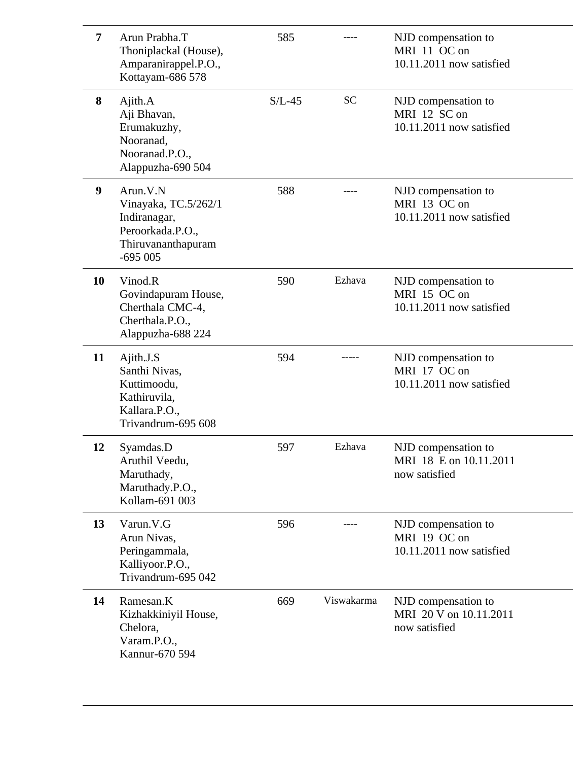| 7         | Arun Prabha.T<br>Thoniplackal (House),<br>Amparanirappel.P.O.,<br>Kottayam-686 578                      | 585      |            | NJD compensation to<br>MRI 11 OC on<br>10.11.2011 now satisfied |
|-----------|---------------------------------------------------------------------------------------------------------|----------|------------|-----------------------------------------------------------------|
| 8         | Ajith.A<br>Aji Bhavan,<br>Erumakuzhy,<br>Nooranad,<br>Nooranad.P.O.,<br>Alappuzha-690 504               | $S/L-45$ | <b>SC</b>  | NJD compensation to<br>MRI 12 SC on<br>10.11.2011 now satisfied |
| 9         | Arun.V.N<br>Vinayaka, TC.5/262/1<br>Indiranagar,<br>Peroorkada.P.O.,<br>Thiruvananthapuram<br>$-695005$ | 588      |            | NJD compensation to<br>MRI 13 OC on<br>10.11.2011 now satisfied |
| <b>10</b> | Vinod.R<br>Govindapuram House,<br>Cherthala CMC-4,<br>Cherthala.P.O.,<br>Alappuzha-688 224              | 590      | Ezhava     | NJD compensation to<br>MRI 15 OC on<br>10.11.2011 now satisfied |
| 11        | Ajith.J.S<br>Santhi Nivas,<br>Kuttimoodu,<br>Kathiruvila,<br>Kallara.P.O.,<br>Trivandrum-695 608        | 594      |            | NJD compensation to<br>MRI 17 OC on<br>10.11.2011 now satisfied |
| 12        | Syamdas.D<br>Aruthil Veedu,<br>Maruthady,<br>Maruthady.P.O.,<br>Kollam-691 003                          | 597      | Ezhava     | NJD compensation to<br>MRI 18 E on 10.11.2011<br>now satisfied  |
| 13        | Varun.V.G<br>Arun Nivas,<br>Peringammala,<br>Kalliyoor.P.O.,<br>Trivandrum-695 042                      | 596      |            | NJD compensation to<br>MRI 19 OC on<br>10.11.2011 now satisfied |
| 14        | Ramesan.K<br>Kizhakkiniyil House,<br>Chelora,<br>Varam.P.O.,<br>Kannur-670 594                          | 669      | Viswakarma | NJD compensation to<br>MRI 20 V on 10.11.2011<br>now satisfied  |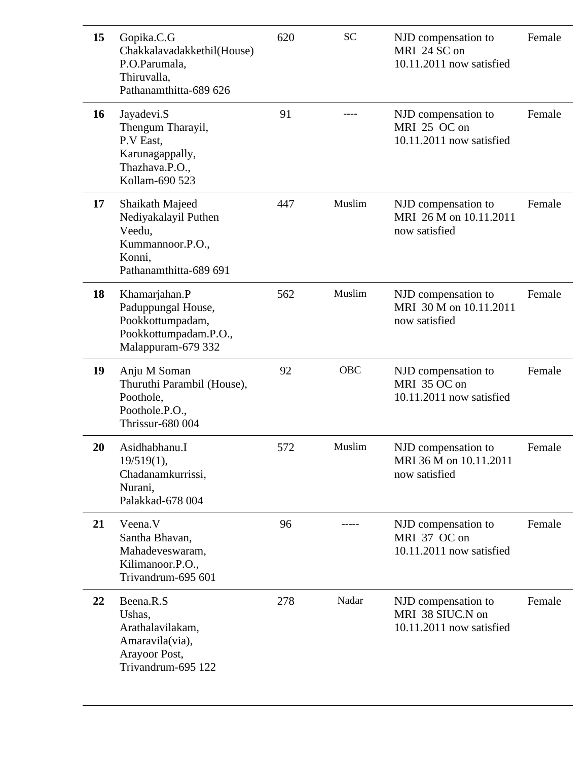|  | 15        | Gopika.C.G<br>Chakkalavadakkethil(House)<br>P.O.Parumala,<br>Thiruvalla,<br>Pathanamthitta-689 626        | 620 | <b>SC</b>  | NJD compensation to<br>MRI 24 SC on<br>10.11.2011 now satisfied     | Female |
|--|-----------|-----------------------------------------------------------------------------------------------------------|-----|------------|---------------------------------------------------------------------|--------|
|  | <b>16</b> | Jayadevi.S<br>Thengum Tharayil,<br>P.V East,<br>Karunagappally,<br>Thazhava.P.O.,<br>Kollam-690 523       | 91  |            | NJD compensation to<br>MRI 25 OC on<br>10.11.2011 now satisfied     | Female |
|  | 17        | Shaikath Majeed<br>Nediyakalayil Puthen<br>Veedu,<br>Kummannoor.P.O.,<br>Konni,<br>Pathanamthitta-689 691 | 447 | Muslim     | NJD compensation to<br>MRI 26 M on 10.11.2011<br>now satisfied      | Female |
|  | 18        | Khamarjahan.P<br>Paduppungal House,<br>Pookkottumpadam,<br>Pookkottumpadam.P.O.,<br>Malappuram-679 332    | 562 | Muslim     | NJD compensation to<br>MRI 30 M on 10.11.2011<br>now satisfied      | Female |
|  | 19        | Anju M Soman<br>Thuruthi Parambil (House),<br>Poothole,<br>Poothole.P.O.,<br><b>Thrissur-680 004</b>      | 92  | <b>OBC</b> | NJD compensation to<br>MRI 35 OC on<br>10.11.2011 now satisfied     | Female |
|  | 20        | Asidhabhanu.I<br>19/519(1),<br>Chadanamkurrissi,<br>Nurani,<br>Palakkad-678 004                           | 572 | Muslim     | NJD compensation to<br>MRI 36 M on 10.11.2011<br>now satisfied      | Female |
|  | 21        | Veena.V<br>Santha Bhavan,<br>Mahadeveswaram,<br>Kilimanoor.P.O.,<br>Trivandrum-695 601                    | 96  |            | NJD compensation to<br>MRI 37 OC on<br>10.11.2011 now satisfied     | Female |
|  | 22        | Beena.R.S<br>Ushas,<br>Arathalavilakam,<br>Amaravila(via),<br>Arayoor Post,<br>Trivandrum-695 122         | 278 | Nadar      | NJD compensation to<br>MRI 38 SIUC.N on<br>10.11.2011 now satisfied | Female |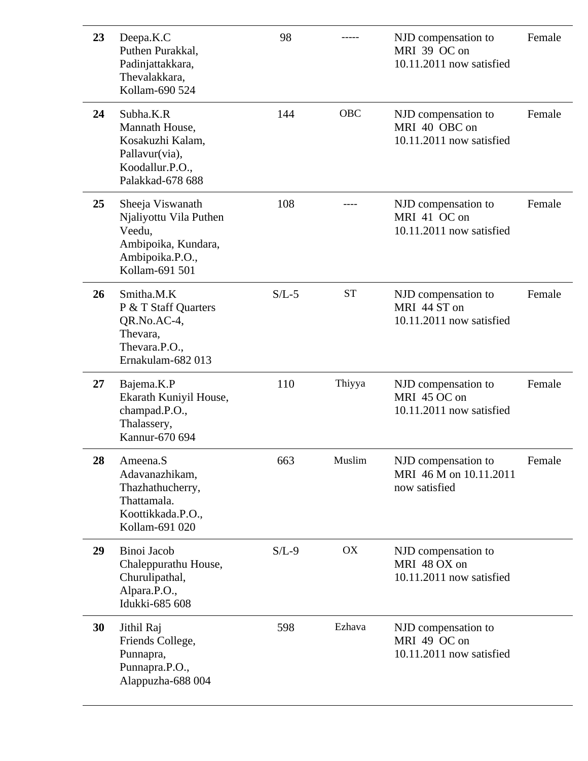| 23 | Deepa.K.C<br>Puthen Purakkal,<br>Padinjattakkara,<br>Thevalakkara,<br>Kollam-690 524                             | 98      |           | NJD compensation to<br>MRI 39 OC on<br>10.11.2011 now satisfied  | Female |
|----|------------------------------------------------------------------------------------------------------------------|---------|-----------|------------------------------------------------------------------|--------|
| 24 | Subha.K.R<br>Mannath House,<br>Kosakuzhi Kalam,<br>Pallavur(via),<br>Koodallur.P.O.,<br>Palakkad-678 688         | 144     | OBC       | NJD compensation to<br>MRI 40 OBC on<br>10.11.2011 now satisfied | Female |
| 25 | Sheeja Viswanath<br>Njaliyottu Vila Puthen<br>Veedu,<br>Ambipoika, Kundara,<br>Ambipoika.P.O.,<br>Kollam-691 501 | 108     |           | NJD compensation to<br>MRI 41 OC on<br>10.11.2011 now satisfied  | Female |
| 26 | Smitha.M.K<br>P & T Staff Quarters<br>QR.No.AC-4,<br>Thevara,<br>Thevara.P.O.,<br>Ernakulam-682 013              | $S/L-5$ | <b>ST</b> | NJD compensation to<br>MRI 44 ST on<br>10.11.2011 now satisfied  | Female |
| 27 | Bajema.K.P<br>Ekarath Kuniyil House,<br>champad.P.O.,<br>Thalassery,<br>Kannur-670 694                           | 110     | Thiyya    | NJD compensation to<br>MRI 45 OC on<br>10.11.2011 now satisfied  | Female |
| 28 | Ameena.S<br>Adavanazhikam,<br>Thazhathucherry,<br>Thattamala.<br>Koottikkada.P.O.,<br>Kollam-691 020             | 663     | Muslim    | NJD compensation to<br>MRI 46 M on 10.11.2011<br>now satisfied   | Female |
| 29 | Binoi Jacob<br>Chaleppurathu House,<br>Churulipathal,<br>Alpara.P.O.,<br>Idukki-685 608                          | $S/L-9$ | OX        | NJD compensation to<br>MRI 48 OX on<br>10.11.2011 now satisfied  |        |
| 30 | Jithil Raj<br>Friends College,<br>Punnapra,<br>Punnapra.P.O.,<br>Alappuzha-688 004                               | 598     | Ezhava    | NJD compensation to<br>MRI 49 OC on<br>10.11.2011 now satisfied  |        |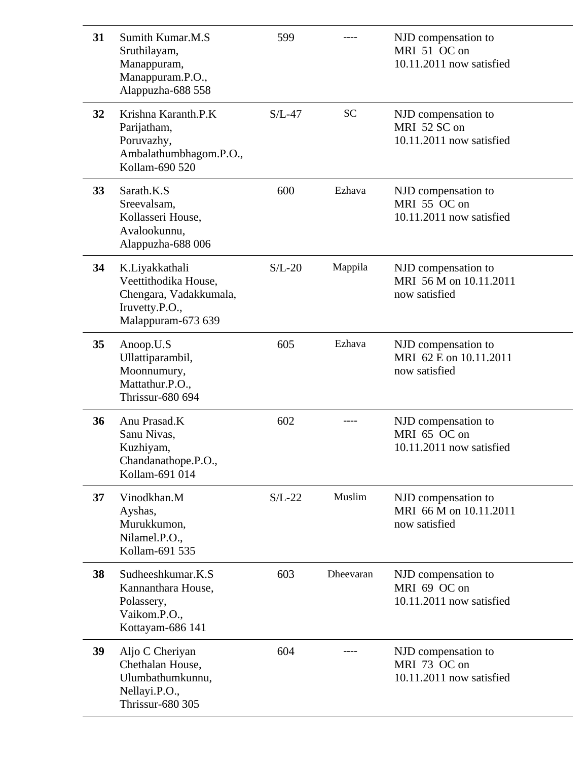| 31 | Sumith Kumar.M.S<br>Sruthilayam,<br>Manappuram,<br>Manappuram.P.O.,<br>Alappuzha-688 558                 | 599      |           | NJD compensation to<br>MRI 51 OC on<br>10.11.2011 now satisfied |
|----|----------------------------------------------------------------------------------------------------------|----------|-----------|-----------------------------------------------------------------|
| 32 | Krishna Karanth.P.K<br>Parijatham,<br>Poruvazhy,<br>Ambalathumbhagom.P.O.,<br>Kollam-690 520             | $S/L-47$ | <b>SC</b> | NJD compensation to<br>MRI 52 SC on<br>10.11.2011 now satisfied |
| 33 | Sarath.K.S<br>Sreevalsam,<br>Kollasseri House,<br>Avalookunnu,<br>Alappuzha-688 006                      | 600      | Ezhava    | NJD compensation to<br>MRI 55 OC on<br>10.11.2011 now satisfied |
| 34 | K.Liyakkathali<br>Veettithodika House,<br>Chengara, Vadakkumala,<br>Iruvetty.P.O.,<br>Malappuram-673 639 | $S/L-20$ | Mappila   | NJD compensation to<br>MRI 56 M on 10.11.2011<br>now satisfied  |
| 35 | Anoop.U.S<br>Ullattiparambil,<br>Moonnumury,<br>Mattathur.P.O.,<br><b>Thrissur-680 694</b>               | 605      | Ezhava    | NJD compensation to<br>MRI 62 E on 10.11.2011<br>now satisfied  |
| 36 | Anu Prasad.K<br>Sanu Nivas,<br>Kuzhiyam,<br>Chandanathope.P.O.,<br>Kollam-691 014                        | 602      |           | NJD compensation to<br>MRI 65 OC on<br>10.11.2011 now satisfied |
| 37 | Vinodkhan.M<br>Ayshas,<br>Murukkumon,<br>Nilamel.P.O.,<br>Kollam-691 535                                 | $S/L-22$ | Muslim    | NJD compensation to<br>MRI 66 M on 10.11.2011<br>now satisfied  |
| 38 | Sudheeshkumar.K.S<br>Kannanthara House,<br>Polassery,<br>Vaikom.P.O.,<br>Kottayam-686 141                | 603      | Dheevaran | NJD compensation to<br>MRI 69 OC on<br>10.11.2011 now satisfied |
| 39 | Aljo C Cheriyan<br>Chethalan House,<br>Ulumbathumkunnu,<br>Nellayi.P.O.,<br><b>Thrissur-680 305</b>      | 604      |           | NJD compensation to<br>MRI 73 OC on<br>10.11.2011 now satisfied |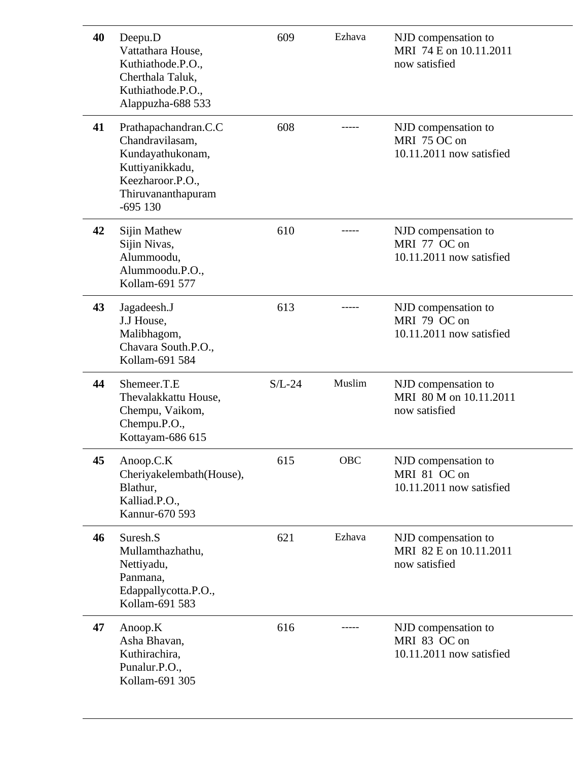| 40 | Deepu.D<br>Vattathara House,<br>Kuthiathode.P.O.,<br>Cherthala Taluk,<br>Kuthiathode.P.O.,<br>Alappuzha-688 533                       | 609      | Ezhava | NJD compensation to<br>MRI 74 E on 10.11.2011<br>now satisfied  |
|----|---------------------------------------------------------------------------------------------------------------------------------------|----------|--------|-----------------------------------------------------------------|
| 41 | Prathapachandran.C.C<br>Chandravilasam,<br>Kundayathukonam,<br>Kuttiyanikkadu,<br>Keezharoor.P.O.,<br>Thiruvananthapuram<br>$-695130$ | 608      |        | NJD compensation to<br>MRI 75 OC on<br>10.11.2011 now satisfied |
| 42 | Sijin Mathew<br>Sijin Nivas,<br>Alummoodu,<br>Alummoodu.P.O.,<br>Kollam-691 577                                                       | 610      |        | NJD compensation to<br>MRI 77 OC on<br>10.11.2011 now satisfied |
| 43 | Jagadeesh.J<br>J.J House,<br>Malibhagom,<br>Chavara South.P.O.,<br>Kollam-691 584                                                     | 613      |        | NJD compensation to<br>MRI 79 OC on<br>10.11.2011 now satisfied |
| 44 | Shemeer.T.E<br>Thevalakkattu House,<br>Chempu, Vaikom,<br>Chempu.P.O.,<br>Kottayam-686 615                                            | $S/L-24$ | Muslim | NJD compensation to<br>MRI 80 M on 10.11.2011<br>now satisfied  |
| 45 | Anoop.C.K<br>Cheriyakelembath(House),<br>Blathur,<br>Kalliad.P.O.,<br>Kannur-670 593                                                  | 615      | OBC    | NJD compensation to<br>MRI 81 OC on<br>10.11.2011 now satisfied |
| 46 | Suresh.S<br>Mullamthazhathu,<br>Nettiyadu,<br>Panmana,<br>Edappallycotta.P.O.,<br>Kollam-691 583                                      | 621      | Ezhava | NJD compensation to<br>MRI 82 E on 10.11.2011<br>now satisfied  |
| 47 | Anoop.K<br>Asha Bhavan,<br>Kuthirachira,<br>Punalur.P.O.,<br>Kollam-691 305                                                           | 616      |        | NJD compensation to<br>MRI 83 OC on<br>10.11.2011 now satisfied |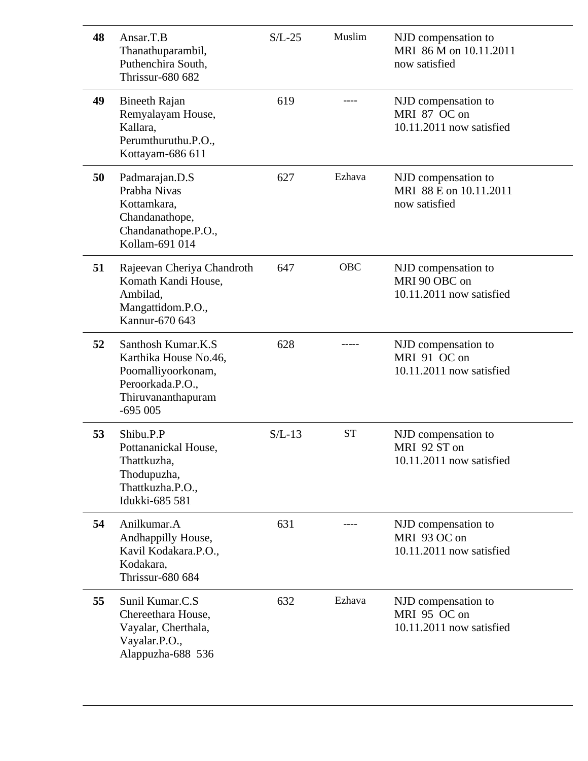| 48 | Ansar.T.B<br>Thanathuparambil,<br>Puthenchira South,<br><b>Thrissur-680 682</b>                                            | $S/L-25$ | Muslim     | NJD compensation to<br>MRI 86 M on 10.11.2011<br>now satisfied   |
|----|----------------------------------------------------------------------------------------------------------------------------|----------|------------|------------------------------------------------------------------|
| 49 | <b>Bineeth Rajan</b><br>Remyalayam House,<br>Kallara,<br>Perumthuruthu.P.O.,<br>Kottayam-686 611                           | 619      |            | NJD compensation to<br>MRI 87 OC on<br>10.11.2011 now satisfied  |
| 50 | Padmarajan.D.S<br>Prabha Nivas<br>Kottamkara,<br>Chandanathope,<br>Chandanathope.P.O.,<br>Kollam-691 014                   | 627      | Ezhava     | NJD compensation to<br>MRI 88 E on 10.11.2011<br>now satisfied   |
| 51 | Rajeevan Cheriya Chandroth<br>Komath Kandi House,<br>Ambilad,<br>Mangattidom.P.O.,<br>Kannur-670 643                       | 647      | <b>OBC</b> | NJD compensation to<br>MRI 90 OBC on<br>10.11.2011 now satisfied |
| 52 | Santhosh Kumar, K.S.<br>Karthika House No.46,<br>Poomalliyoorkonam,<br>Peroorkada.P.O.,<br>Thiruvananthapuram<br>$-695005$ | 628      |            | NJD compensation to<br>MRI 91 OC on<br>10.11.2011 now satisfied  |
| 53 | Shibu.P.P<br>Pottananickal House,<br>Thattkuzha,<br>Thodupuzha,<br>Thattkuzha.P.O.,<br>Idukki-685 581                      | $S/L-13$ | <b>ST</b>  | NJD compensation to<br>MRI 92 ST on<br>10.11.2011 now satisfied  |
| 54 | Anilkumar.A<br>Andhappilly House,<br>Kavil Kodakara.P.O.,<br>Kodakara,<br><b>Thrissur-680 684</b>                          | 631      |            | NJD compensation to<br>MRI 93 OC on<br>10.11.2011 now satisfied  |
| 55 | Sunil Kumar.C.S<br>Chereethara House,<br>Vayalar, Cherthala,<br>Vayalar.P.O.,<br>Alappuzha-688 536                         | 632      | Ezhava     | NJD compensation to<br>MRI 95 OC on<br>10.11.2011 now satisfied  |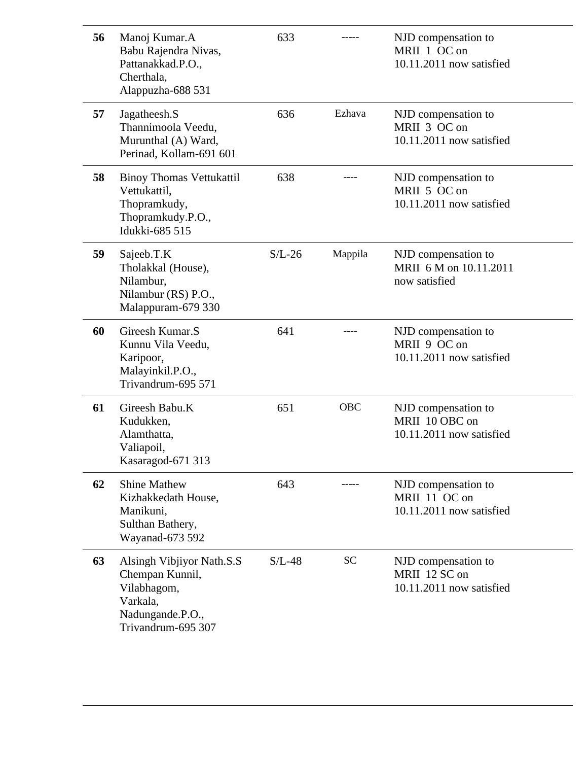| 56 | Manoj Kumar.A<br>Babu Rajendra Nivas,<br>Pattanakkad.P.O.,<br>Cherthala,<br>Alappuzha-688 531                     | 633      |            | NJD compensation to<br>MRII 1 OC on<br>10.11.2011 now satisfied   |
|----|-------------------------------------------------------------------------------------------------------------------|----------|------------|-------------------------------------------------------------------|
| 57 | Jagatheesh.S<br>Thannimoola Veedu,<br>Murunthal (A) Ward,<br>Perinad, Kollam-691 601                              | 636      | Ezhava     | NJD compensation to<br>MRII 3 OC on<br>10.11.2011 now satisfied   |
| 58 | <b>Binoy Thomas Vettukattil</b><br>Vettukattil,<br>Thopramkudy,<br>Thopramkudy.P.O.,<br>Idukki-685 515            | 638      |            | NJD compensation to<br>MRII 5 OC on<br>10.11.2011 now satisfied   |
| 59 | Sajeeb.T.K<br>Tholakkal (House),<br>Nilambur,<br>Nilambur (RS) P.O.,<br>Malappuram-679 330                        | $S/L-26$ | Mappila    | NJD compensation to<br>MRII 6 M on 10.11.2011<br>now satisfied    |
| 60 | Gireesh Kumar.S<br>Kunnu Vila Veedu,<br>Karipoor,<br>Malayinkil.P.O.,<br>Trivandrum-695 571                       | 641      |            | NJD compensation to<br>MRII 9 OC on<br>10.11.2011 now satisfied   |
| 61 | Gireesh Babu.K<br>Kudukken,<br>Alamthatta,<br>Valiapoil,<br>Kasaragod-671 313                                     | 651      | <b>OBC</b> | NJD compensation to<br>MRII 10 OBC on<br>10.11.2011 now satisfied |
| 62 | <b>Shine Mathew</b><br>Kizhakkedath House,<br>Manikuni,<br>Sulthan Bathery,<br>Wayanad-673 592                    | 643      |            | NJD compensation to<br>MRII 11 OC on<br>10.11.2011 now satisfied  |
| 63 | Alsingh Vibjiyor Nath.S.S<br>Chempan Kunnil,<br>Vilabhagom,<br>Varkala,<br>Nadungande.P.O.,<br>Trivandrum-695 307 | $S/L-48$ | <b>SC</b>  | NJD compensation to<br>MRII 12 SC on<br>10.11.2011 now satisfied  |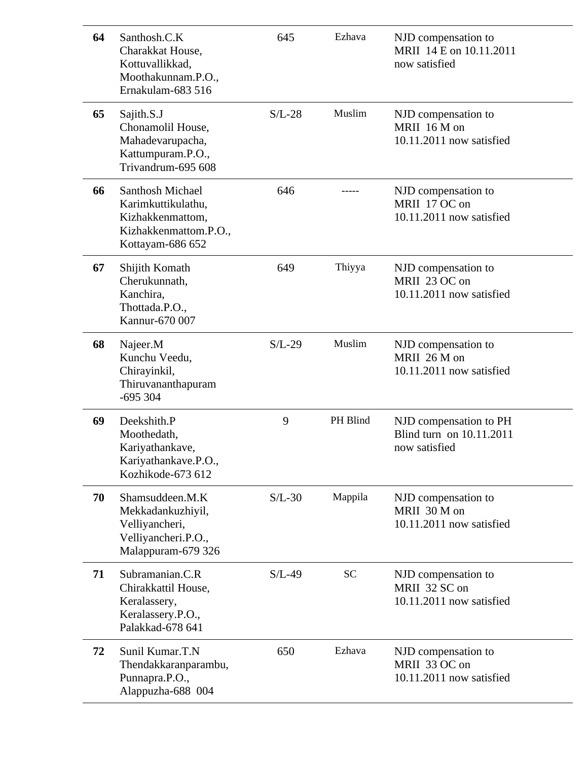| 64 | Santhosh.C.K<br>Charakkat House,<br>Kottuvallikkad,<br>Moothakunnam.P.O.,<br>Ernakulam-683 516                 | 645      | Ezhava    | NJD compensation to<br>MRII 14 E on 10.11.2011<br>now satisfied     |
|----|----------------------------------------------------------------------------------------------------------------|----------|-----------|---------------------------------------------------------------------|
| 65 | Sajith.S.J<br>Chonamolil House,<br>Mahadevarupacha,<br>Kattumpuram.P.O.,<br>Trivandrum-695 608                 | $S/L-28$ | Muslim    | NJD compensation to<br>MRII 16 M on<br>10.11.2011 now satisfied     |
| 66 | <b>Santhosh Michael</b><br>Karimkuttikulathu,<br>Kizhakkenmattom,<br>Kizhakkenmattom.P.O.,<br>Kottayam-686 652 | 646      |           | NJD compensation to<br>MRII 17 OC on<br>10.11.2011 now satisfied    |
| 67 | Shijith Komath<br>Cherukunnath,<br>Kanchira,<br>Thottada.P.O.,<br>Kannur-670 007                               | 649      | Thiyya    | NJD compensation to<br>MRII 23 OC on<br>10.11.2011 now satisfied    |
| 68 | Najeer.M<br>Kunchu Veedu,<br>Chirayinkil,<br>Thiruvananthapuram<br>$-695304$                                   | $S/L-29$ | Muslim    | NJD compensation to<br>MRII 26 M on<br>10.11.2011 now satisfied     |
| 69 | Deekshith.P<br>Moothedath,<br>Kariyathankave,<br>Kariyathankave.P.O.,<br>Kozhikode-673 612                     | 9        | PH Blind  | NJD compensation to PH<br>Blind turn on 10.11.2011<br>now satisfied |
| 70 | Shamsuddeen.M.K<br>Mekkadankuzhiyil,<br>Velliyancheri,<br>Velliyancheri.P.O.,<br>Malappuram-679 326            | $S/L-30$ | Mappila   | NJD compensation to<br>MRII 30 M on<br>10.11.2011 now satisfied     |
| 71 | Subramanian.C.R<br>Chirakkattil House,<br>Keralassery,<br>Keralassery.P.O.,<br>Palakkad-678 641                | $S/L-49$ | <b>SC</b> | NJD compensation to<br>MRII 32 SC on<br>10.11.2011 now satisfied    |
| 72 | Sunil Kumar.T.N<br>Thendakkaranparambu,<br>Punnapra.P.O.,<br>Alappuzha-688 004                                 | 650      | Ezhava    | NJD compensation to<br>MRII 33 OC on<br>10.11.2011 now satisfied    |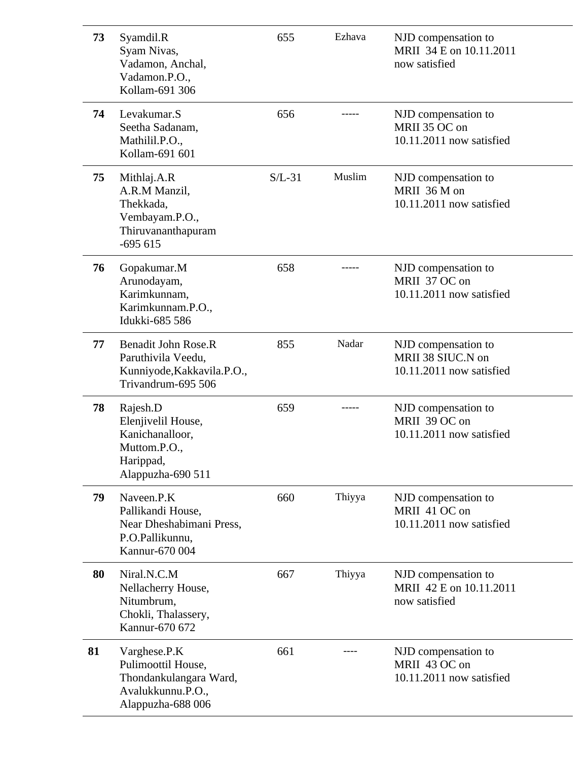| 73 | Syamdil.R<br>Syam Nivas,<br>Vadamon, Anchal,<br>Vadamon.P.O.,<br>Kollam-691 306                        | 655      | Ezhava | NJD compensation to<br>MRII 34 E on 10.11.2011<br>now satisfied      |
|----|--------------------------------------------------------------------------------------------------------|----------|--------|----------------------------------------------------------------------|
| 74 | Levakumar.S<br>Seetha Sadanam,<br>Mathilil.P.O.,<br>Kollam-691 601                                     | 656      |        | NJD compensation to<br>MRII 35 OC on<br>10.11.2011 now satisfied     |
| 75 | Mithlaj.A.R<br>A.R.M Manzil,<br>Thekkada,<br>Vembayam.P.O.,<br>Thiruvananthapuram<br>$-695615$         | $S/L-31$ | Muslim | NJD compensation to<br>MRII 36 M on<br>10.11.2011 now satisfied      |
| 76 | Gopakumar.M<br>Arunodayam,<br>Karimkunnam,<br>Karimkunnam.P.O.,<br>Idukki-685 586                      | 658      |        | NJD compensation to<br>MRII 37 OC on<br>10.11.2011 now satisfied     |
| 77 | Benadit John Rose.R<br>Paruthivila Veedu,<br>Kunniyode, Kakkavila. P.O.,<br>Trivandrum-695 506         | 855      | Nadar  | NJD compensation to<br>MRII 38 SIUC.N on<br>10.11.2011 now satisfied |
| 78 | Rajesh.D<br>Elenjivelil House,<br>Kanichanalloor,<br>Muttom.P.O.,<br>Harippad,<br>Alappuzha-690 511    | 659      |        | NJD compensation to<br>MRII 39 OC on<br>10.11.2011 now satisfied     |
| 79 | Naveen.P.K<br>Pallikandi House,<br>Near Dheshabimani Press,<br>P.O.Pallikunnu,<br>Kannur-670 004       | 660      | Thiyya | NJD compensation to<br>MRII 41 OC on<br>10.11.2011 now satisfied     |
| 80 | Niral, N.C.M<br>Nellacherry House,<br>Nitumbrum,<br>Chokli, Thalassery,<br>Kannur-670 672              | 667      | Thiyya | NJD compensation to<br>MRII 42 E on 10.11.2011<br>now satisfied      |
| 81 | Varghese.P.K<br>Pulimoottil House,<br>Thondankulangara Ward,<br>Avalukkunnu.P.O.,<br>Alappuzha-688 006 | 661      |        | NJD compensation to<br>MRII 43 OC on<br>10.11.2011 now satisfied     |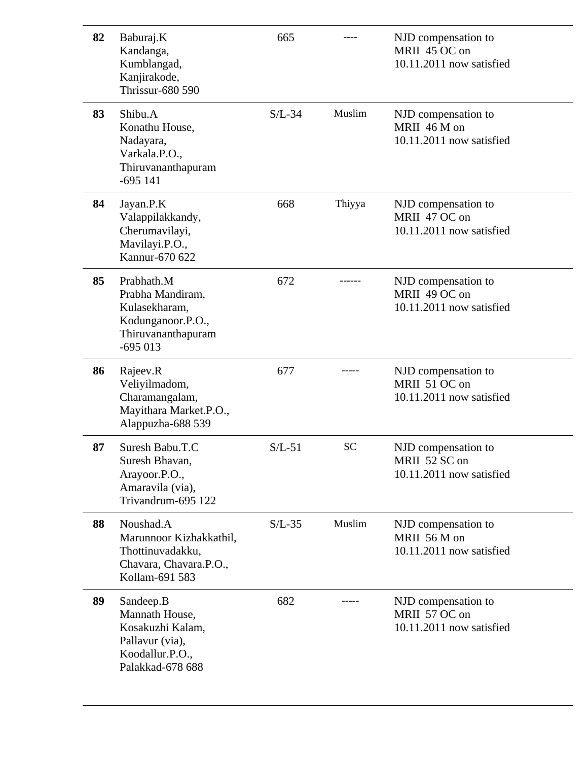| 82 | Baburaj.K<br>Kandanga,<br>Kumblangad,<br>Kanjirakode,<br><b>Thrissur-680 590</b>                          | 665      |           | NJD compensation to<br>MRII 45 OC on<br>10.11.2011 now satisfied  |
|----|-----------------------------------------------------------------------------------------------------------|----------|-----------|-------------------------------------------------------------------|
| 83 | Shibu.A<br>Konathu House,<br>Nadayara,<br>Varkala.P.O.,<br>Thiruvananthapuram<br>$-695141$                | $S/L-34$ | Muslim    | NJD compensation to<br>MRII 46 M on<br>10.11.2011 now satisfied   |
| 84 | Jayan.P.K<br>Valappilakkandy,<br>Cherumavilayi,<br>Mavilayi.P.O.,<br>Kannur-670 622                       | 668      | Thiyya    | NJD compensation to<br>MRII 47 OC on<br>10.11.2011 now satisfied  |
| 85 | Prabhath.M<br>Prabha Mandiram,<br>Kulasekharam,<br>Kodunganoor.P.O.,<br>Thiruvananthapuram<br>$-695013$   | 672      |           | NJD compensation to<br>MRII 49 OC on<br>10.11.2011 now satisfied  |
| 86 | Rajeev.R<br>Veliyilmadom,<br>Charamangalam,<br>Mayithara Market.P.O.,<br>Alappuzha-688 539                | 677      |           | NJD compensation to<br>MRII 51 OC on<br>10.11.2011 now satisfied  |
| 87 | Suresh Babu.T.C<br>Suresh Bhavan,<br>Arayoor.P.O.,<br>Amaravila (via),<br>Trivandrum-695 122              | $S/L-51$ | <b>SC</b> | NJD compensation to<br>MRII 52 SC on<br>10.11.2011 now satisfied  |
| 88 | Noushad.A<br>Marunnoor Kizhakkathil,<br>Thottinuvadakku,<br>Chavara, Chavara.P.O.,<br>Kollam-691 583      | $S/L-35$ | Muslim    | NJD compensation to<br>MRII 56 M on<br>$10.11.2011$ now satisfied |
| 89 | Sandeep.B<br>Mannath House,<br>Kosakuzhi Kalam,<br>Pallavur (via),<br>Koodallur.P.O.,<br>Palakkad-678 688 | 682      |           | NJD compensation to<br>MRII 57 OC on<br>10.11.2011 now satisfied  |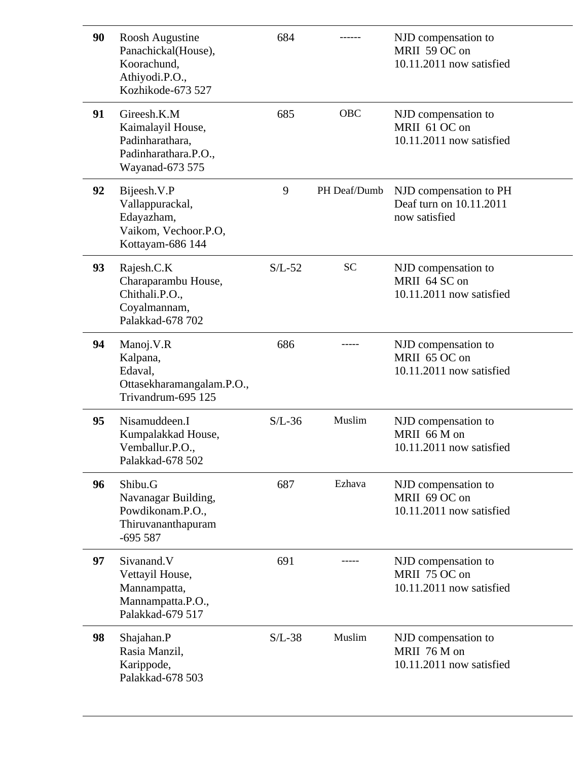| 90 | Roosh Augustine<br>Panachickal(House),<br>Koorachund.<br>Athiyodi.P.O.,<br>Kozhikode-673 527   | 684      |              | NJD compensation to<br>MRII 59 OC on<br>10.11.2011 now satisfied   |
|----|------------------------------------------------------------------------------------------------|----------|--------------|--------------------------------------------------------------------|
| 91 | Gireesh.K.M<br>Kaimalayil House,<br>Padinharathara,<br>Padinharathara.P.O.,<br>Wayanad-673 575 | 685      | <b>OBC</b>   | NJD compensation to<br>MRII 61 OC on<br>10.11.2011 now satisfied   |
| 92 | Bijeesh.V.P<br>Vallappurackal,<br>Edayazham,<br>Vaikom, Vechoor.P.O,<br>Kottayam-686 144       | 9        | PH Deaf/Dumb | NJD compensation to PH<br>Deaf turn on 10.11.2011<br>now satisfied |
| 93 | Rajesh.C.K<br>Charaparambu House,<br>Chithali.P.O.,<br>Coyalmannam,<br>Palakkad-678 702        | $S/L-52$ | <b>SC</b>    | NJD compensation to<br>MRII 64 SC on<br>10.11.2011 now satisfied   |
| 94 | Manoj.V.R<br>Kalpana,<br>Edaval,<br>Ottasekharamangalam.P.O.,<br>Trivandrum-695 125            | 686      |              | NJD compensation to<br>MRII 65 OC on<br>10.11.2011 now satisfied   |
| 95 | Nisamuddeen.I<br>Kumpalakkad House,<br>Vemballur.P.O.,<br>Palakkad-678 502                     | $S/L-36$ | Muslim       | NJD compensation to<br>MRII 66 M on<br>10.11.2011 now satisfied    |
| 96 | Shibu.G<br>Navanagar Building,<br>Powdikonam.P.O.,<br>Thiruvananthapuram<br>$-695587$          | 687      | Ezhava       | NJD compensation to<br>MRII 69 OC on<br>10.11.2011 now satisfied   |
| 97 | Sivanand.V<br>Vettayil House,<br>Mannampatta,<br>Mannampatta.P.O.,<br>Palakkad-679 517         | 691      |              | NJD compensation to<br>MRII 75 OC on<br>10.11.2011 now satisfied   |
| 98 | Shajahan.P<br>Rasia Manzil,<br>Karippode,<br>Palakkad-678 503                                  | $S/L-38$ | Muslim       | NJD compensation to<br>MRII 76 M on<br>10.11.2011 now satisfied    |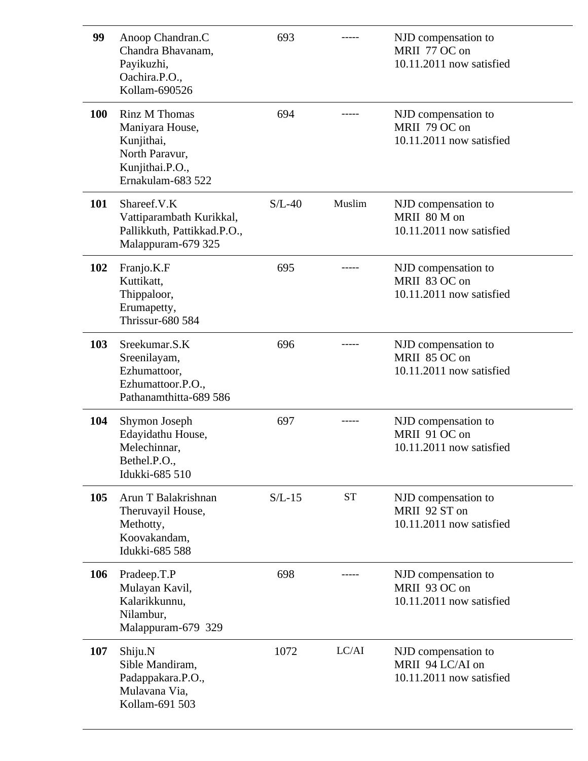| 99         | Anoop Chandran.C<br>Chandra Bhavanam,<br>Payikuzhi,<br>Oachira.P.O.,<br>Kollam-690526                    | 693      |           | NJD compensation to<br>MRII 77 OC on<br>10.11.2011 now satisfied    |
|------------|----------------------------------------------------------------------------------------------------------|----------|-----------|---------------------------------------------------------------------|
| <b>100</b> | Rinz M Thomas<br>Maniyara House,<br>Kunjithai,<br>North Paravur,<br>Kunjithai.P.O.,<br>Ernakulam-683 522 | 694      |           | NJD compensation to<br>MRII 79 OC on<br>10.11.2011 now satisfied    |
| 101        | Shareef.V.K<br>Vattiparambath Kurikkal,<br>Pallikkuth, Pattikkad.P.O.,<br>Malappuram-679 325             | $S/L-40$ | Muslim    | NJD compensation to<br>MRII 80 M on<br>10.11.2011 now satisfied     |
| 102        | Franjo.K.F<br>Kuttikatt,<br>Thippaloor,<br>Erumapetty,<br><b>Thrissur-680 584</b>                        | 695      |           | NJD compensation to<br>MRII 83 OC on<br>10.11.2011 now satisfied    |
| 103        | Sreekumar.S.K<br>Sreenilayam,<br>Ezhumattoor,<br>Ezhumattoor.P.O.,<br>Pathanamthitta-689 586             | 696      |           | NJD compensation to<br>MRII 85 OC on<br>10.11.2011 now satisfied    |
| 104        | Shymon Joseph<br>Edayidathu House,<br>Melechinnar,<br>Bethel.P.O.,<br>Idukki-685 510                     | 697      |           | NJD compensation to<br>MRII 91 OC on<br>10.11.2011 now satisfied    |
| 105        | Arun T Balakrishnan<br>Theruvayil House,<br>Methotty,<br>Koovakandam,<br>Idukki-685 588                  | $S/L-15$ | <b>ST</b> | NJD compensation to<br>MRII 92 ST on<br>10.11.2011 now satisfied    |
| 106        | Pradeep.T.P<br>Mulayan Kavil,<br>Kalarikkunnu,<br>Nilambur,<br>Malappuram-679 329                        | 698      |           | NJD compensation to<br>MRII 93 OC on<br>10.11.2011 now satisfied    |
| 107        | Shiju.N<br>Sible Mandiram,<br>Padappakara.P.O.,<br>Mulavana Via,<br>Kollam-691 503                       | 1072     | LC/AI     | NJD compensation to<br>MRII 94 LC/AI on<br>10.11.2011 now satisfied |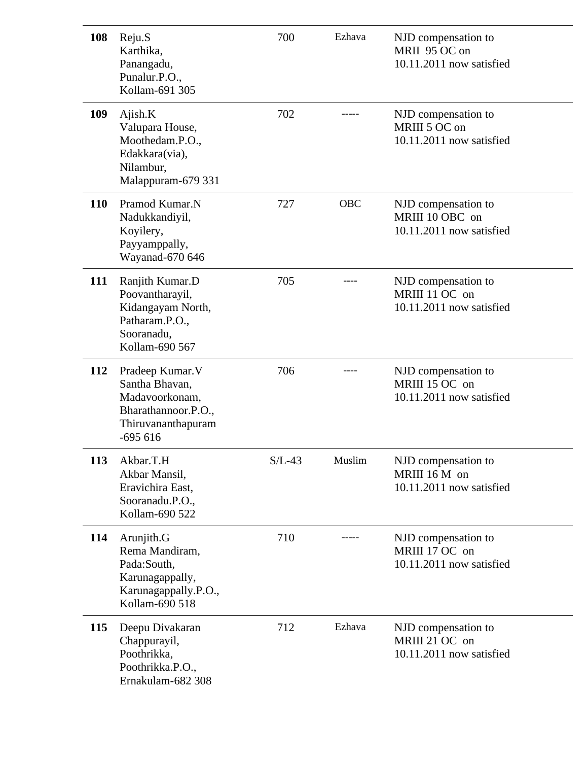| 108 | Reju.S<br>Karthika,<br>Panangadu,<br>Punalur.P.O.,<br>Kollam-691 305                                           | 700      | Ezhava     | NJD compensation to<br>MRII 95 OC on<br>10.11.2011 now satisfied   |
|-----|----------------------------------------------------------------------------------------------------------------|----------|------------|--------------------------------------------------------------------|
| 109 | Ajish.K<br>Valupara House,<br>Moothedam.P.O.,<br>Edakkara(via),<br>Nilambur,<br>Malappuram-679 331             | 702      |            | NJD compensation to<br>MRIII 5 OC on<br>10.11.2011 now satisfied   |
| 110 | Pramod Kumar.N<br>Nadukkandiyil,<br>Koyilery,<br>Payyamppally,<br>Wayanad-670 646                              | 727      | <b>OBC</b> | NJD compensation to<br>MRIII 10 OBC on<br>10.11.2011 now satisfied |
| 111 | Ranjith Kumar.D<br>Poovantharayil,<br>Kidangayam North,<br>Patharam.P.O.,<br>Sooranadu,<br>Kollam-690 567      | 705      |            | NJD compensation to<br>MRIII 11 OC on<br>10.11.2011 now satisfied  |
| 112 | Pradeep Kumar. V<br>Santha Bhavan,<br>Madavoorkonam,<br>Bharathannoor.P.O.,<br>Thiruvananthapuram<br>$-695616$ | 706      |            | NJD compensation to<br>MRIII 15 OC on<br>10.11.2011 now satisfied  |
| 113 | Akbar.T.H<br>Akbar Mansil,<br>Eravichira East,<br>Sooranadu.P.O.,<br>Kollam-690 522                            | $S/L-43$ | Muslim     | NJD compensation to<br>MRIII 16 M on<br>10.11.2011 now satisfied   |
| 114 | Arunjith.G<br>Rema Mandiram,<br>Pada:South,<br>Karunagappally,<br>Karunagappally.P.O.,<br>Kollam-690 518       | 710      |            | NJD compensation to<br>MRIII 17 OC on<br>10.11.2011 now satisfied  |
| 115 | Deepu Divakaran<br>Chappurayil,<br>Poothrikka,<br>Poothrikka.P.O.,<br>Ernakulam-682 308                        | 712      | Ezhava     | NJD compensation to<br>MRIII 21 OC on<br>10.11.2011 now satisfied  |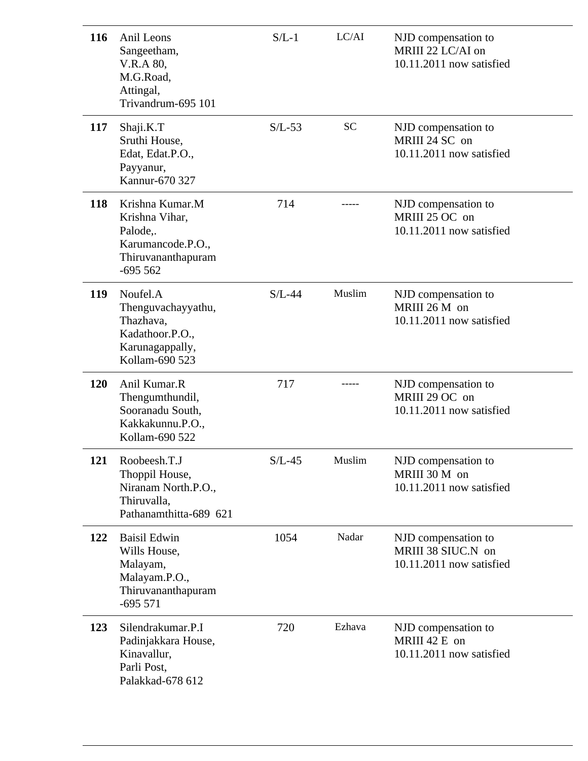| 116 | Anil Leons<br>Sangeetham,<br>V.R.A 80,<br>M.G.Road,<br>Attingal,<br>Trivandrum-695 101                | $S/L-1$  | LC/AI     | NJD compensation to<br>MRIII 22 LC/AI on<br>10.11.2011 now satisfied  |
|-----|-------------------------------------------------------------------------------------------------------|----------|-----------|-----------------------------------------------------------------------|
| 117 | Shaji.K.T<br>Sruthi House,<br>Edat, Edat.P.O.,<br>Payyanur,<br>Kannur-670 327                         | $S/L-53$ | <b>SC</b> | NJD compensation to<br>MRIII 24 SC on<br>10.11.2011 now satisfied     |
| 118 | Krishna Kumar.M<br>Krishna Vihar,<br>Palode,.<br>Karumancode.P.O.,<br>Thiruvananthapuram<br>$-695562$ | 714      |           | NJD compensation to<br>MRIII 25 OC on<br>10.11.2011 now satisfied     |
| 119 | Noufel.A<br>Thenguvachayyathu,<br>Thazhava,<br>Kadathoor.P.O.,<br>Karunagappally,<br>Kollam-690 523   | $S/L-44$ | Muslim    | NJD compensation to<br>MRIII 26 M on<br>10.11.2011 now satisfied      |
| 120 | Anil Kumar.R<br>Thengumthundil,<br>Sooranadu South,<br>Kakkakunnu.P.O.,<br>Kollam-690 522             | 717      |           | NJD compensation to<br>MRIII 29 OC on<br>10.11.2011 now satisfied     |
| 121 | Roobeesh.T.J<br>Thoppil House,<br>Niranam North.P.O.,<br>Thiruvalla,<br>Pathanamthitta-689 621        | $S/L-45$ | Muslim    | NJD compensation to<br>MRIII 30 M on<br>10.11.2011 now satisfied      |
| 122 | <b>Baisil Edwin</b><br>Wills House,<br>Malayam,<br>Malayam.P.O.,<br>Thiruvananthapuram<br>$-695571$   | 1054     | Nadar     | NJD compensation to<br>MRIII 38 SIUC.N on<br>10.11.2011 now satisfied |
| 123 | Silendrakumar.P.I<br>Padinjakkara House,<br>Kinavallur,<br>Parli Post,<br>Palakkad-678 612            | 720      | Ezhava    | NJD compensation to<br>MRIII 42 E on<br>10.11.2011 now satisfied      |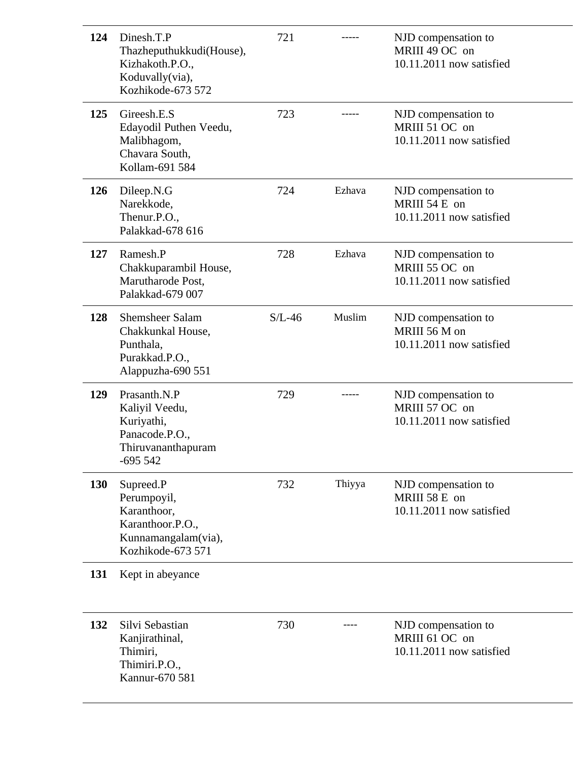| 124        | Dinesh.T.P<br>Thazheputhukkudi(House),<br>Kizhakoth.P.O.,<br>Koduvally(via),<br>Kozhikode-673 572       | 721      |        | NJD compensation to<br>MRIII 49 OC on<br>10.11.2011 now satisfied |
|------------|---------------------------------------------------------------------------------------------------------|----------|--------|-------------------------------------------------------------------|
| 125        | Gireesh.E.S<br>Edayodil Puthen Veedu,<br>Malibhagom,<br>Chavara South,<br>Kollam-691 584                | 723      | -----  | NJD compensation to<br>MRIII 51 OC on<br>10.11.2011 now satisfied |
| <b>126</b> | Dileep.N.G<br>Narekkode,<br>Thenur.P.O.,<br>Palakkad-678 616                                            | 724      | Ezhava | NJD compensation to<br>MRIII 54 E on<br>10.11.2011 now satisfied  |
| 127        | Ramesh.P<br>Chakkuparambil House,<br>Marutharode Post,<br>Palakkad-679 007                              | 728      | Ezhava | NJD compensation to<br>MRIII 55 OC on<br>10.11.2011 now satisfied |
| 128        | Shemsheer Salam<br>Chakkunkal House,<br>Punthala,<br>Purakkad.P.O.,<br>Alappuzha-690 551                | $S/L-46$ | Muslim | NJD compensation to<br>MRIII 56 M on<br>10.11.2011 now satisfied  |
| 129        | Prasanth.N.P<br>Kaliyil Veedu,<br>Kuriyathi,<br>Panacode.P.O.,<br>Thiruvananthapuram<br>$-695542$       | 729      |        | NJD compensation to<br>MRIII 57 OC on<br>10.11.2011 now satisfied |
| <b>130</b> | Supreed.P<br>Perumpoyil,<br>Karanthoor,<br>Karanthoor.P.O.,<br>Kunnamangalam(via),<br>Kozhikode-673 571 | 732      | Thiyya | NJD compensation to<br>MRIII 58 E on<br>10.11.2011 now satisfied  |
| 131        | Kept in abeyance                                                                                        |          |        |                                                                   |
| 132        | Silvi Sebastian<br>Kanjirathinal,<br>Thimiri,<br>Thimiri.P.O.,<br>Kannur-670 581                        | 730      |        | NJD compensation to<br>MRIII 61 OC on<br>10.11.2011 now satisfied |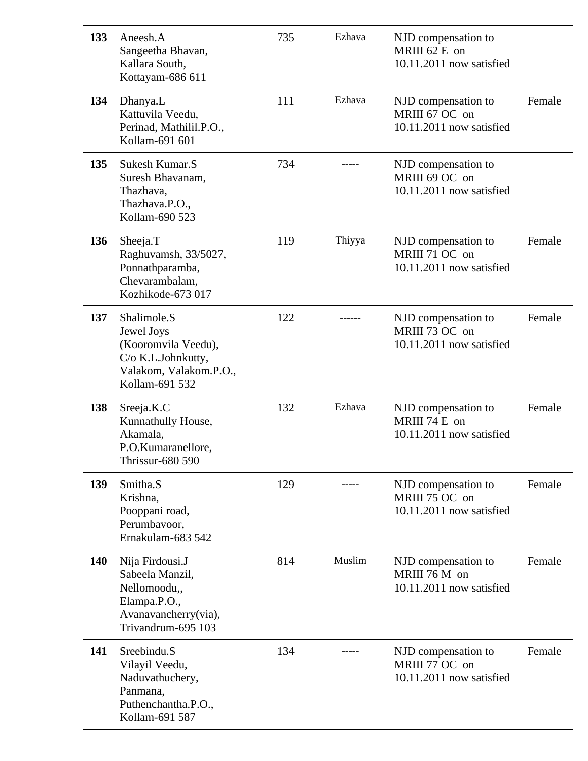| 133 | Aneesh.A<br>Sangeetha Bhavan,<br>Kallara South,<br>Kottayam-686 611                                                | 735 | Ezhava | NJD compensation to<br>MRIII 62 E on<br>10.11.2011 now satisfied  |        |
|-----|--------------------------------------------------------------------------------------------------------------------|-----|--------|-------------------------------------------------------------------|--------|
| 134 | Dhanya.L<br>Kattuvila Veedu,<br>Perinad, Mathilil.P.O.,<br>Kollam-691 601                                          | 111 | Ezhava | NJD compensation to<br>MRIII 67 OC on<br>10.11.2011 now satisfied | Female |
| 135 | Sukesh Kumar.S<br>Suresh Bhavanam,<br>Thazhava,<br>Thazhava.P.O.,<br>Kollam-690 523                                | 734 |        | NJD compensation to<br>MRIII 69 OC on<br>10.11.2011 now satisfied |        |
| 136 | Sheeja.T<br>Raghuvamsh, 33/5027,<br>Ponnathparamba,<br>Chevarambalam,<br>Kozhikode-673 017                         | 119 | Thiyya | NJD compensation to<br>MRIII 71 OC on<br>10.11.2011 now satisfied | Female |
| 137 | Shalimole.S<br>Jewel Joys<br>(Kooromvila Veedu),<br>C/o K.L.Johnkutty,<br>Valakom, Valakom.P.O.,<br>Kollam-691 532 | 122 |        | NJD compensation to<br>MRIII 73 OC on<br>10.11.2011 now satisfied | Female |
| 138 | Sreeja.K.C<br>Kunnathully House,<br>Akamala,<br>P.O.Kumaranellore,<br>Thrissur-680 590                             | 132 | Ezhava | NJD compensation to<br>MRIII 74 E on<br>10.11.2011 now satisfied  | Female |
| 139 | Smitha.S<br>Krishna,<br>Pooppani road,<br>Perumbavoor,<br>Ernakulam-683 542                                        | 129 |        | NJD compensation to<br>MRIII 75 OC on<br>10.11.2011 now satisfied | Female |
| 140 | Nija Firdousi.J<br>Sabeela Manzil,<br>Nellomoodu,,<br>Elampa.P.O.,<br>Avanavancherry(via),<br>Trivandrum-695 103   | 814 | Muslim | NJD compensation to<br>MRIII 76 M on<br>10.11.2011 now satisfied  | Female |
| 141 | Sreebindu.S<br>Vilayil Veedu,<br>Naduvathuchery,<br>Panmana,<br>Puthenchantha.P.O.,<br>Kollam-691 587              | 134 |        | NJD compensation to<br>MRIII 77 OC on<br>10.11.2011 now satisfied | Female |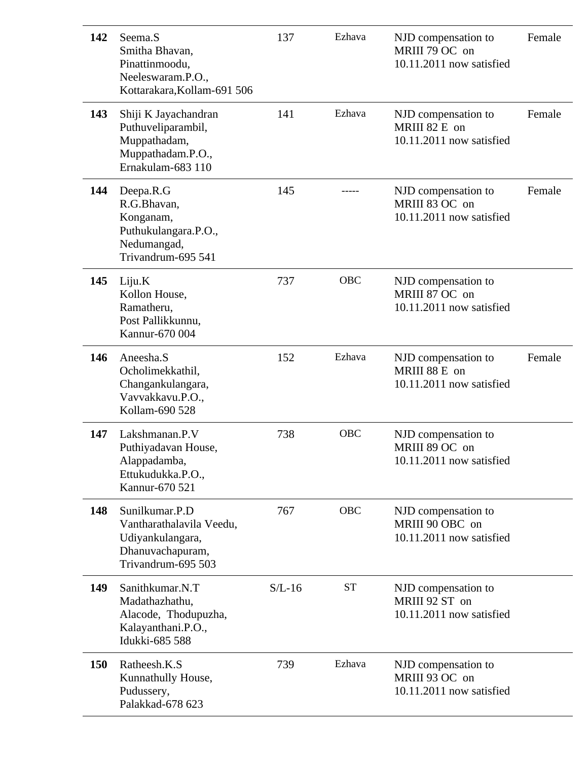| 142 | Seema.S<br>Smitha Bhavan,<br>Pinattinmoodu,<br>Neeleswaram.P.O.,<br>Kottarakara, Kollam-691 506          | 137      | Ezhava     | NJD compensation to<br>MRIII 79 OC on<br>10.11.2011 now satisfied  | Female |
|-----|----------------------------------------------------------------------------------------------------------|----------|------------|--------------------------------------------------------------------|--------|
| 143 | Shiji K Jayachandran<br>Puthuveliparambil,<br>Muppathadam,<br>Muppathadam.P.O.,<br>Ernakulam-683 110     | 141      | Ezhava     | NJD compensation to<br>MRIII 82 E on<br>10.11.2011 now satisfied   | Female |
| 144 | Deepa.R.G<br>R.G.Bhavan,<br>Konganam,<br>Puthukulangara.P.O.,<br>Nedumangad,<br>Trivandrum-695 541       | 145      |            | NJD compensation to<br>MRIII 83 OC on<br>10.11.2011 now satisfied  | Female |
| 145 | Liju.K<br>Kollon House,<br>Ramatheru,<br>Post Pallikkunnu,<br>Kannur-670 004                             | 737      | <b>OBC</b> | NJD compensation to<br>MRIII 87 OC on<br>10.11.2011 now satisfied  |        |
| 146 | Aneesha.S<br>Ocholimekkathil,<br>Changankulangara,<br>Vavvakkavu.P.O.,<br>Kollam-690 528                 | 152      | Ezhava     | NJD compensation to<br>MRIII 88 E on<br>10.11.2011 now satisfied   | Female |
| 147 | Lakshmanan.P.V<br>Puthiyadavan House,<br>Alappadamba,<br>Ettukudukka.P.O.,<br>Kannur-670 521             | 738      | <b>OBC</b> | NJD compensation to<br>MRIII 89 OC on<br>10.11.2011 now satisfied  |        |
| 148 | Sunilkumar.P.D<br>Vantharathalavila Veedu,<br>Udiyankulangara,<br>Dhanuvachapuram,<br>Trivandrum-695 503 | 767      | <b>OBC</b> | NJD compensation to<br>MRIII 90 OBC on<br>10.11.2011 now satisfied |        |
| 149 | Sanithkumar.N.T<br>Madathazhathu,<br>Alacode, Thodupuzha,<br>Kalayanthani.P.O.,<br>Idukki-685 588        | $S/L-16$ | <b>ST</b>  | NJD compensation to<br>MRIII 92 ST on<br>10.11.2011 now satisfied  |        |
| 150 | Ratheesh.K.S<br>Kunnathully House,<br>Pudussery,<br>Palakkad-678 623                                     | 739      | Ezhava     | NJD compensation to<br>MRIII 93 OC on<br>10.11.2011 now satisfied  |        |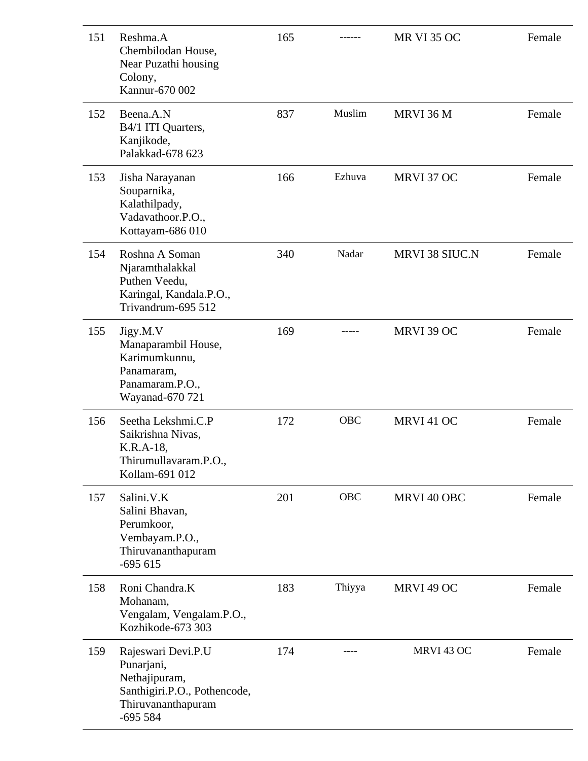| 151 | Reshma.A<br>Chembilodan House,<br>Near Puzathi housing<br>Colony,<br>Kannur-670 002                                  | 165 |            | <b>MR VI 35 OC</b>    | Female |
|-----|----------------------------------------------------------------------------------------------------------------------|-----|------------|-----------------------|--------|
| 152 | Beena.A.N<br>B4/1 ITI Quarters,<br>Kanjikode,<br>Palakkad-678 623                                                    | 837 | Muslim     | MRVI 36 M             | Female |
| 153 | Jisha Narayanan<br>Souparnika,<br>Kalathilpady,<br>Vadavathoor.P.O.,<br>Kottayam-686 010                             | 166 | Ezhuva     | MRVI 37 OC            | Female |
| 154 | Roshna A Soman<br>Njaramthalakkal<br>Puthen Veedu,<br>Karingal, Kandala.P.O.,<br>Trivandrum-695 512                  | 340 | Nadar      | <b>MRVI 38 SIUC.N</b> | Female |
| 155 | Jigy.M.V<br>Manaparambil House,<br>Karimumkunnu,<br>Panamaram,<br>Panamaram.P.O.,<br>Wayanad-670 721                 | 169 |            | MRVI 39 OC            | Female |
| 156 | Seetha Lekshmi.C.P<br>Saikrishna Nivas,<br>K.R.A-18,<br>Thirumullavaram.P.O.,<br>Kollam-691 012                      | 172 | <b>OBC</b> | MRVI 41 OC            | Female |
| 157 | Salini.V.K<br>Salini Bhavan,<br>Perumkoor,<br>Vembayam.P.O.,<br>Thiruvananthapuram<br>$-695615$                      | 201 | <b>OBC</b> | MRVI 40 OBC           | Female |
| 158 | Roni Chandra.K<br>Mohanam,<br>Vengalam, Vengalam.P.O.,<br>Kozhikode-673 303                                          | 183 | Thiyya     | MRVI 49 OC            | Female |
| 159 | Rajeswari Devi.P.U<br>Punarjani,<br>Nethajipuram,<br>Santhigiri.P.O., Pothencode,<br>Thiruvananthapuram<br>$-695584$ | 174 |            | MRVI 43 OC            | Female |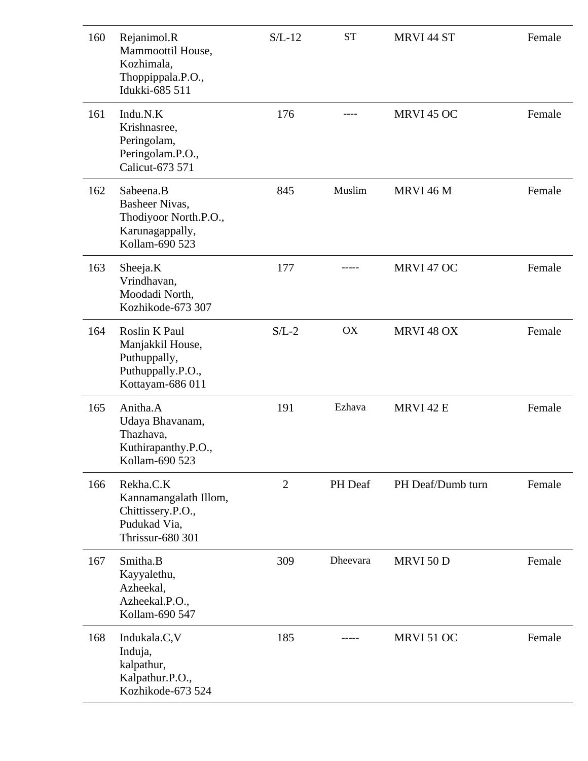| 160 | Rejanimol.R<br>Mammoottil House,<br>Kozhimala,<br>Thoppippala.P.O.,<br>Idukki-685 511       | $S/L-12$       | <b>ST</b> | MRVI 44 ST        | Female |
|-----|---------------------------------------------------------------------------------------------|----------------|-----------|-------------------|--------|
| 161 | Indu.N.K<br>Krishnasree,<br>Peringolam,<br>Peringolam.P.O.,<br>Calicut-673 571              | 176            |           | MRVI 45 OC        | Female |
| 162 | Sabeena.B<br>Basheer Nivas,<br>Thodiyoor North.P.O.,<br>Karunagappally,<br>Kollam-690 523   | 845            | Muslim    | MRVI 46 M         | Female |
| 163 | Sheeja.K<br>Vrindhavan,<br>Moodadi North,<br>Kozhikode-673 307                              | 177            |           | MRVI 47 OC        | Female |
| 164 | Roslin K Paul<br>Manjakkil House,<br>Puthuppally,<br>Puthuppally.P.O.,<br>Kottayam-686 011  | $S/L-2$        | <b>OX</b> | MRVI 48 OX        | Female |
| 165 | Anitha.A<br>Udaya Bhavanam,<br>Thazhava,<br>Kuthirapanthy.P.O.,<br>Kollam-690 523           | 191            | Ezhava    | MRVI 42 E         | Female |
| 166 | Rekha.C.K<br>Kannamangalath Illom,<br>Chittissery.P.O.,<br>Pudukad Via,<br>Thrissur-680 301 | $\overline{2}$ | PH Deaf   | PH Deaf/Dumb turn | Female |
| 167 | Smitha.B<br>Kayyalethu,<br>Azheekal,<br>Azheekal.P.O.,<br>Kollam-690 547                    | 309            | Dheevara  | MRVI 50 D         | Female |
| 168 | Indukala.C, V<br>Induja,<br>kalpathur,<br>Kalpathur.P.O.,<br>Kozhikode-673 524              | 185            |           | MRVI 51 OC        | Female |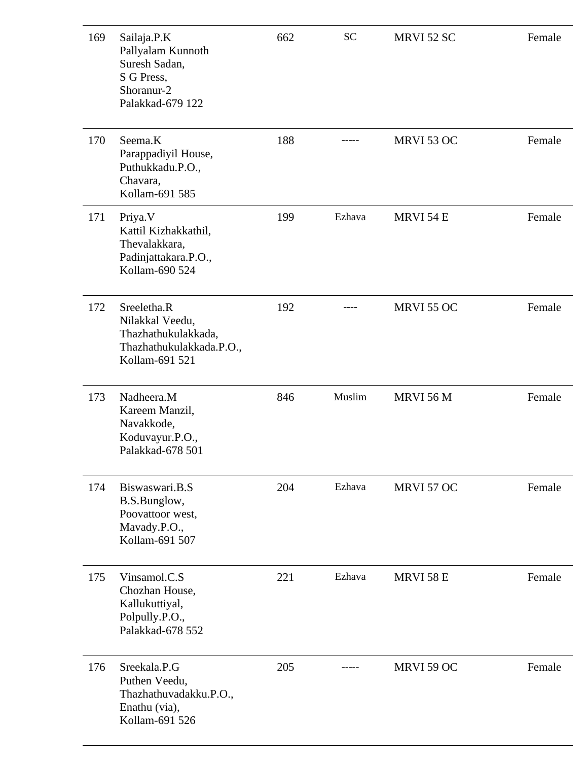| 169 | Sailaja.P.K<br>Pallyalam Kunnoth<br>Suresh Sadan,<br>S G Press,<br>Shoranur-2<br>Palakkad-679 122   | 662 | <b>SC</b> | MRVI 52 SC       | Female |
|-----|-----------------------------------------------------------------------------------------------------|-----|-----------|------------------|--------|
| 170 | Seema.K<br>Parappadiyil House,<br>Puthukkadu.P.O.,<br>Chavara,<br>Kollam-691 585                    | 188 |           | MRVI 53 OC       | Female |
| 171 | Priya. V<br>Kattil Kizhakkathil,<br>Thevalakkara,<br>Padinjattakara.P.O.,<br>Kollam-690 524         | 199 | Ezhava    | MRVI 54 E        | Female |
| 172 | Sreeletha.R<br>Nilakkal Veedu,<br>Thazhathukulakkada,<br>Thazhathukulakkada.P.O.,<br>Kollam-691 521 | 192 |           | MRVI 55 OC       | Female |
| 173 | Nadheera.M<br>Kareem Manzil,<br>Navakkode,<br>Koduvayur.P.O.,<br>Palakkad-678 501                   | 846 | Muslim    | <b>MRVI 56 M</b> | Female |
| 174 | Biswaswari.B.S<br>B.S.Bunglow,<br>Poovattoor west,<br>Mavady.P.O.,<br>Kollam-691 507                | 204 | Ezhava    | MRVI 57 OC       | Female |
| 175 | Vinsamol.C.S<br>Chozhan House,<br>Kallukuttiyal,<br>Polpully.P.O.,<br>Palakkad-678 552              | 221 | Ezhava    | <b>MRVI 58 E</b> | Female |
| 176 | Sreekala.P.G<br>Puthen Veedu,<br>Thazhathuvadakku.P.O.,<br>Enathu (via),<br>Kollam-691 526          | 205 |           | MRVI 59 OC       | Female |